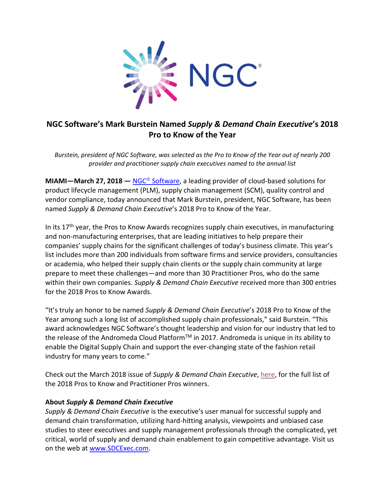

## **NGC Software's Mark Burstein Named** *Supply & Demand Chain Executive***'s 2018 Pro to Know of the Year**

*Burstein, president of NGC Software, was selected as the Pro to Know of the Year out of nearly 200 provider and practitioner supply chain executives named to the annual list*

**MIAMI**—**March 27, 2018** — NGC<sup>®</sup> [Software,](https://www.ngcsoftware.com/) a leading provider of cloud-based solutions for product lifecycle management (PLM), supply chain management (SCM), quality control and vendor compliance, today announced that Mark Burstein, president, NGC Software, has been named *Supply & Demand Chain Executive*'s 2018 Pro to Know of the Year.

In its  $17<sup>th</sup>$  year, the Pros to Know Awards recognizes supply chain executives, in manufacturing and non-manufacturing enterprises, that are leading initiatives to help prepare their companies' supply chains for the significant challenges of today's business climate. This year's list includes more than 200 individuals from software firms and service providers, consultancies or academia, who helped their supply chain clients or the supply chain community at large prepare to meet these challenges—and more than 30 Practitioner Pros, who do the same within their own companies. *Supply & Demand Chain Executive* received more than 300 entries for the 2018 Pros to Know Awards.

"It's truly an honor to be named *Supply & Demand Chain Executive*'s 2018 Pro to Know of the Year among such a long list of accomplished supply chain professionals," said Burstein. "This award acknowledges NGC Software's thought leadership and vision for our industry that led to the release of the Andromeda Cloud Platform™ in 2017. Andromeda is unique in its ability to enable the Digital Supply Chain and support the ever-changing state of the fashion retail industry for many years to come."

Check out the March 2018 issue of *Supply & Demand Chain Executive*[, here,](https://www.sdcexec.com/awards/article/20993969/ngc-software-mark-burstein-named-2018-pro-to-know-of-the-year?utm_source=Headline+News&utm_medium=email&utm_campaign=ACSDCE180320002&o_eid=8110A0615490J0C&rdx.ident%5Bpull%5D=omeda%7C8110A0615490J0C) for the full list of the 2018 Pros to Know and Practitioner Pros winners.

## **About** *Supply & Demand Chain Executive*

*Supply & Demand Chain Executive* is the executive's user manual for successful supply and demand chain transformation, utilizing hard-hitting analysis, viewpoints and unbiased case studies to steer executives and supply management professionals through the complicated, yet critical, world of supply and demand chain enablement to gain competitive advantage. Visit us on the web at [www.SDCExec.com.](http://www.sdcexec.com/)